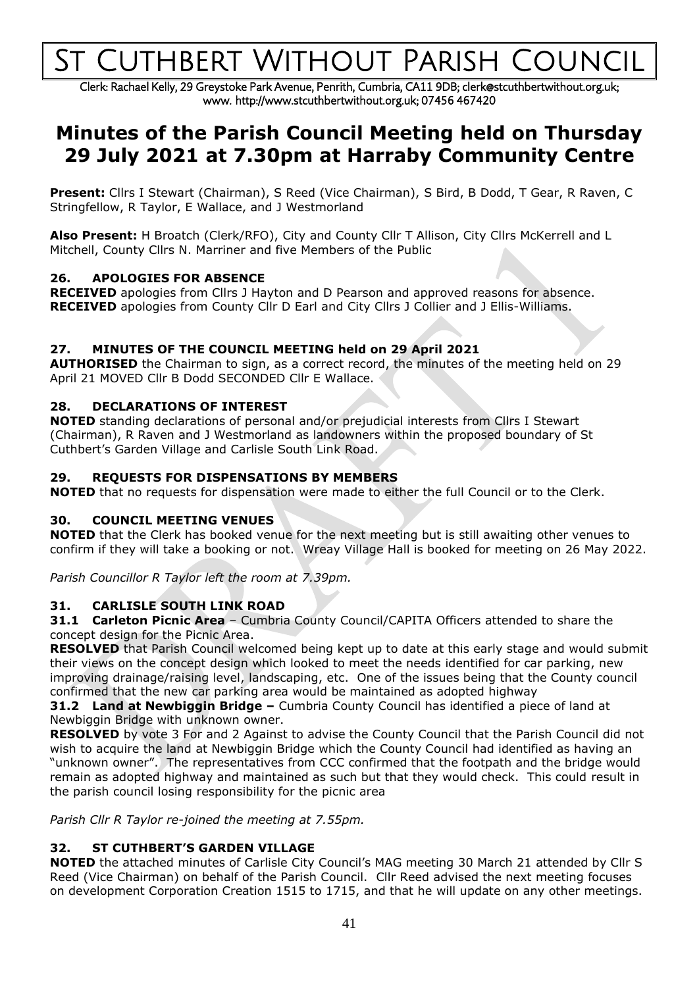# **CUTHBERT WITHOUT PARISH COUNCIL**

Clerk: Rachael Kelly, 29 Greystoke Park Avenue, Penrith, Cumbria, CA11 9DB; clerk@stcuthbertwithout.org.uk; www. http://www.stcuthbertwithout.org.uk; 07456 467420

## **Minutes of the Parish Council Meeting held on Thursday 29 July 2021 at 7.30pm at Harraby Community Centre**

**Present:** Cllrs I Stewart (Chairman), S Reed (Vice Chairman), S Bird, B Dodd, T Gear, R Raven, C Stringfellow, R Taylor, E Wallace, and J Westmorland

**Also Present:** H Broatch (Clerk/RFO), City and County Cllr T Allison, City Cllrs McKerrell and L Mitchell, County Cllrs N. Marriner and five Members of the Public

#### **26. APOLOGIES FOR ABSENCE**

**RECEIVED** apologies from Cllrs J Hayton and D Pearson and approved reasons for absence. **RECEIVED** apologies from County Cllr D Earl and City Cllrs J Collier and J Ellis-Williams.

#### **27. MINUTES OF THE COUNCIL MEETING held on 29 April 2021**

**AUTHORISED** the Chairman to sign, as a correct record, the minutes of the meeting held on 29 April 21 MOVED Cllr B Dodd SECONDED Cllr E Wallace.

#### **28. DECLARATIONS OF INTEREST**

**NOTED** standing declarations of personal and/or prejudicial interests from Cllrs I Stewart (Chairman), R Raven and J Westmorland as landowners within the proposed boundary of St Cuthbert's Garden Village and Carlisle South Link Road.

#### **29. REQUESTS FOR DISPENSATIONS BY MEMBERS**

**NOTED** that no requests for dispensation were made to either the full Council or to the Clerk.

#### **30. COUNCIL MEETING VENUES**

**NOTED** that the Clerk has booked venue for the next meeting but is still awaiting other venues to confirm if they will take a booking or not. Wreay Village Hall is booked for meeting on 26 May 2022.

*Parish Councillor R Taylor left the room at 7.39pm.*

#### **31. CARLISLE SOUTH LINK ROAD**

**31.1 Carleton Picnic Area** – Cumbria County Council/CAPITA Officers attended to share the concept design for the Picnic Area.

**RESOLVED** that Parish Council welcomed being kept up to date at this early stage and would submit their views on the concept design which looked to meet the needs identified for car parking, new improving drainage/raising level, landscaping, etc. One of the issues being that the County council confirmed that the new car parking area would be maintained as adopted highway

**31.2 Land at Newbiggin Bridge –** Cumbria County Council has identified a piece of land at Newbiggin Bridge with unknown owner.

**RESOLVED** by vote 3 For and 2 Against to advise the County Council that the Parish Council did not wish to acquire the land at Newbiggin Bridge which the County Council had identified as having an "unknown owner". The representatives from CCC confirmed that the footpath and the bridge would remain as adopted highway and maintained as such but that they would check. This could result in the parish council losing responsibility for the picnic area

*Parish Cllr R Taylor re-joined the meeting at 7.55pm.*

#### **32. ST CUTHBERT'S GARDEN VILLAGE**

**NOTED** the attached minutes of Carlisle City Council's MAG meeting 30 March 21 attended by Cllr S Reed (Vice Chairman) on behalf of the Parish Council. Cllr Reed advised the next meeting focuses on development Corporation Creation 1515 to 1715, and that he will update on any other meetings.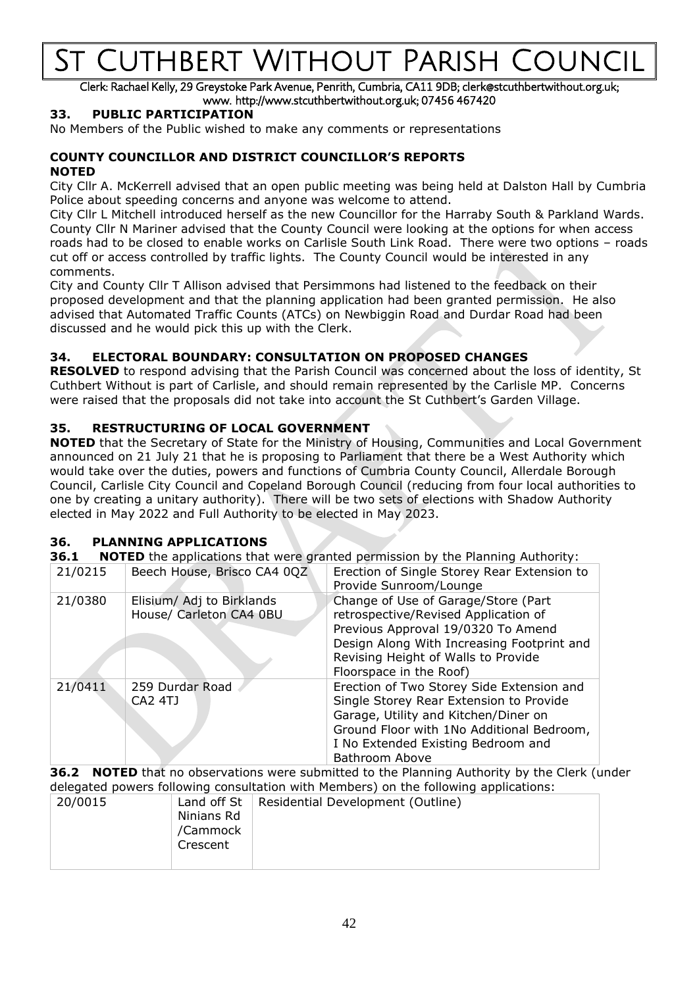# Cuthbert Without Parish Coung

Clerk: Rachael Kelly, 29 Greystoke Park Avenue, Penrith, Cumbria, CA11 9DB; clerk@stcuthbertwithout.org.uk; www. http://www.stcuthbertwithout.org.uk; 07456 467420

#### **33. PUBLIC PARTICIPATION**

No Members of the Public wished to make any comments or representations

#### **COUNTY COUNCILLOR AND DISTRICT COUNCILLOR'S REPORTS NOTED**

City Cllr A. McKerrell advised that an open public meeting was being held at Dalston Hall by Cumbria Police about speeding concerns and anyone was welcome to attend.

City Cllr L Mitchell introduced herself as the new Councillor for the Harraby South & Parkland Wards. County Cllr N Mariner advised that the County Council were looking at the options for when access roads had to be closed to enable works on Carlisle South Link Road. There were two options – roads cut off or access controlled by traffic lights. The County Council would be interested in any comments.

City and County Cllr T Allison advised that Persimmons had listened to the feedback on their proposed development and that the planning application had been granted permission. He also advised that Automated Traffic Counts (ATCs) on Newbiggin Road and Durdar Road had been discussed and he would pick this up with the Clerk.

#### **34. ELECTORAL BOUNDARY: CONSULTATION ON PROPOSED CHANGES**

**RESOLVED** to respond advising that the Parish Council was concerned about the loss of identity, St Cuthbert Without is part of Carlisle, and should remain represented by the Carlisle MP. Concerns were raised that the proposals did not take into account the St Cuthbert's Garden Village.

#### **35. RESTRUCTURING OF LOCAL GOVERNMENT**

**NOTED** that the Secretary of State for the Ministry of Housing, Communities and Local Government announced on 21 July 21 that he is proposing to Parliament that there be a West Authority which would take over the duties, powers and functions of Cumbria County Council, Allerdale Borough Council, Carlisle City Council and Copeland Borough Council (reducing from four local authorities to one by creating a unitary authority). There will be two sets of elections with Shadow Authority elected in May 2022 and Full Authority to be elected in May 2023.

#### **36. PLANNING APPLICATIONS**

**36.1 NOTED** the applications that were granted permission by the Planning Authority:

| 21/0215 | Beech House, Brisco CA4 0QZ                          | Erection of Single Storey Rear Extension to<br>Provide Sunroom/Lounge                                                                                                                                                             |
|---------|------------------------------------------------------|-----------------------------------------------------------------------------------------------------------------------------------------------------------------------------------------------------------------------------------|
| 21/0380 | Elisium/ Adj to Birklands<br>House/ Carleton CA4 0BU | Change of Use of Garage/Store (Part<br>retrospective/Revised Application of<br>Previous Approval 19/0320 To Amend<br>Design Along With Increasing Footprint and<br>Revising Height of Walls to Provide<br>Floorspace in the Roof) |
| 21/0411 | 259 Durdar Road<br><b>CA2 4TJ</b>                    | Erection of Two Storey Side Extension and<br>Single Storey Rear Extension to Provide<br>Garage, Utility and Kitchen/Diner on<br>Ground Floor with 1No Additional Bedroom,<br>I No Extended Existing Bedroom and<br>Bathroom Above |

**36.2 NOTED** that no observations were submitted to the Planning Authority by the Clerk (under delegated powers following consultation with Members) on the following applications:

| 20/0015 | Land off $St$ | Residential Development (Outline) |
|---------|---------------|-----------------------------------|
|         |               |                                   |
|         | Ninians Rd    |                                   |
|         | /Cammock      |                                   |
|         |               |                                   |
|         | Crescent      |                                   |
|         |               |                                   |
|         |               |                                   |
|         |               |                                   |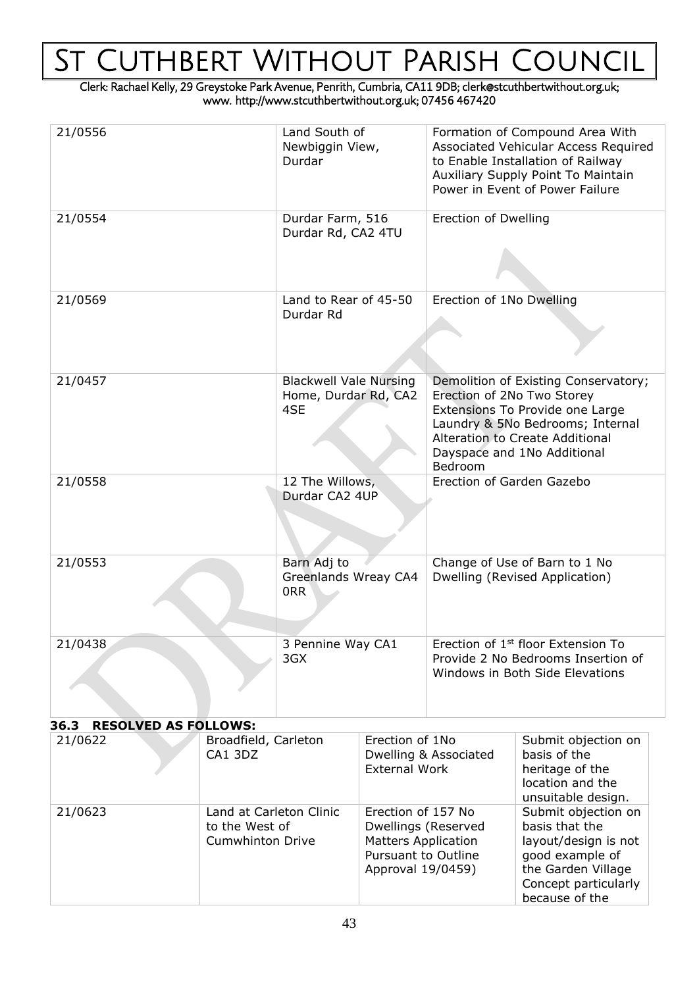# St Cuthbert Without Parish Council

Clerk: Rachael Kelly, 29 Greystoke Park Avenue, Penrith, Cumbria, CA11 9DB; clerk@stcuthbertwithout.org.uk; www. http://www.stcuthbertwithout.org.uk; 07456 467420

| 21/0556                                                                         |  | Land South of<br>Newbiggin View,<br>Durdar                                                                          |  | Formation of Compound Area With<br>Associated Vehicular Access Required<br>to Enable Installation of Railway<br>Auxiliary Supply Point To Maintain<br>Power in Event of Power Failure                                         |                                                                                                                                                  |  |
|---------------------------------------------------------------------------------|--|---------------------------------------------------------------------------------------------------------------------|--|-------------------------------------------------------------------------------------------------------------------------------------------------------------------------------------------------------------------------------|--------------------------------------------------------------------------------------------------------------------------------------------------|--|
| 21/0554                                                                         |  | Durdar Farm, 516<br>Durdar Rd, CA2 4TU                                                                              |  | <b>Erection of Dwelling</b>                                                                                                                                                                                                   |                                                                                                                                                  |  |
| 21/0569                                                                         |  | Land to Rear of 45-50<br>Durdar Rd                                                                                  |  | Erection of 1No Dwelling                                                                                                                                                                                                      |                                                                                                                                                  |  |
| 21/0457                                                                         |  | <b>Blackwell Vale Nursing</b><br>Home, Durdar Rd, CA2<br>4SE                                                        |  | Demolition of Existing Conservatory;<br>Erection of 2No Two Storey<br>Extensions To Provide one Large<br>Laundry & 5No Bedrooms; Internal<br><b>Alteration to Create Additional</b><br>Dayspace and 1No Additional<br>Bedroom |                                                                                                                                                  |  |
| 21/0558                                                                         |  | 12 The Willows,<br>Durdar CA2 4UP                                                                                   |  | Erection of Garden Gazebo                                                                                                                                                                                                     |                                                                                                                                                  |  |
| 21/0553                                                                         |  | Barn Adj to<br>Greenlands Wreay CA4<br>0RR                                                                          |  | Change of Use of Barn to 1 No<br>Dwelling (Revised Application)                                                                                                                                                               |                                                                                                                                                  |  |
| 21/0438                                                                         |  | 3 Pennine Way CA1<br>3GX                                                                                            |  | Frection of 1 <sup>st</sup> floor Extension To<br>Provide 2 No Bedrooms Insertion of<br>Windows in Both Side Elevations                                                                                                       |                                                                                                                                                  |  |
| <b>RESOLVED AS FOLLOWS:</b><br>36.3                                             |  |                                                                                                                     |  |                                                                                                                                                                                                                               |                                                                                                                                                  |  |
| 21/0622<br>Broadfield, Carleton<br>CA1 3DZ                                      |  | Erection of 1No<br><b>External Work</b>                                                                             |  | Dwelling & Associated                                                                                                                                                                                                         | Submit objection on<br>basis of the<br>heritage of the<br>location and the<br>unsuitable design.                                                 |  |
| 21/0623<br>Land at Carleton Clinic<br>to the West of<br><b>Cumwhinton Drive</b> |  | Erection of 157 No<br>Dwellings (Reserved<br><b>Matters Application</b><br>Pursuant to Outline<br>Approval 19/0459) |  |                                                                                                                                                                                                                               | Submit objection on<br>basis that the<br>layout/design is not<br>good example of<br>the Garden Village<br>Concept particularly<br>because of the |  |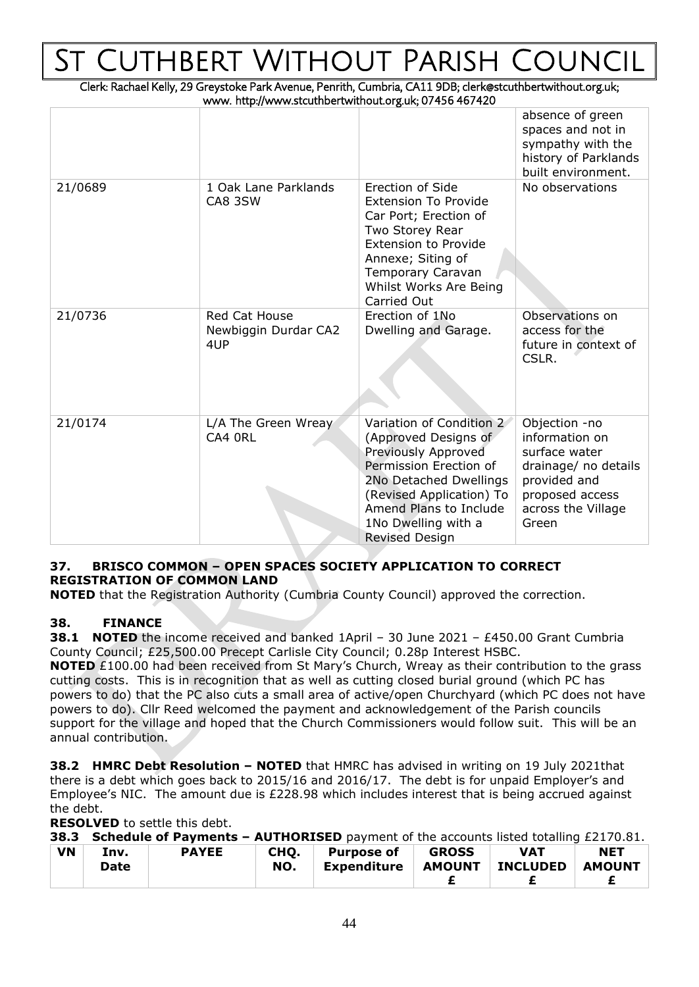# UTHBERT WITHOUT PARISH COUNG

Clerk: Rachael Kelly, 29 Greystoke Park Avenue, Penrith, Cumbria, CA11 9DB; clerk@stcuthbertwithout.org.uk; www. http://www.stcuthbertwithout.org.uk; 07456 467420

|         |                                              |                                                                                                                                                                                                                                   | absence of green<br>spaces and not in<br>sympathy with the<br>history of Parklands<br>built environment.                                   |
|---------|----------------------------------------------|-----------------------------------------------------------------------------------------------------------------------------------------------------------------------------------------------------------------------------------|--------------------------------------------------------------------------------------------------------------------------------------------|
| 21/0689 | 1 Oak Lane Parklands<br>CA8 3SW              | <b>Erection of Side</b><br><b>Extension To Provide</b><br>Car Port; Erection of<br>Two Storey Rear<br><b>Extension to Provide</b><br>Annexe; Siting of<br>Temporary Caravan<br>Whilst Works Are Being<br>Carried Out              | No observations                                                                                                                            |
| 21/0736 | Red Cat House<br>Newbiggin Durdar CA2<br>4UP | Erection of 1No<br>Dwelling and Garage.                                                                                                                                                                                           | Observations on<br>access for the<br>future in context of<br>CSLR.                                                                         |
| 21/0174 | L/A The Green Wreay<br>CA4 ORL               | Variation of Condition 2<br>(Approved Designs of<br>Previously Approved<br>Permission Erection of<br>2No Detached Dwellings<br>(Revised Application) To<br>Amend Plans to Include<br>1No Dwelling with a<br><b>Revised Design</b> | Objection -no<br>information on<br>surface water<br>drainage/ no details<br>provided and<br>proposed access<br>across the Village<br>Green |

### **37. BRISCO COMMON – OPEN SPACES SOCIETY APPLICATION TO CORRECT REGISTRATION OF COMMON LAND**

**NOTED** that the Registration Authority (Cumbria County Council) approved the correction.

### **38. FINANCE**

**38.1 NOTED** the income received and banked 1April – 30 June 2021 – £450.00 Grant Cumbria County Council; £25,500.00 Precept Carlisle City Council; 0.28p Interest HSBC.

**NOTED** £100.00 had been received from St Mary's Church, Wreay as their contribution to the grass cutting costs. This is in recognition that as well as cutting closed burial ground (which PC has powers to do) that the PC also cuts a small area of active/open Churchyard (which PC does not have powers to do). Cllr Reed welcomed the payment and acknowledgement of the Parish councils support for the village and hoped that the Church Commissioners would follow suit. This will be an annual contribution.

**38.2 HMRC Debt Resolution – NOTED** that HMRC has advised in writing on 19 July 2021that there is a debt which goes back to 2015/16 and 2016/17. The debt is for unpaid Employer's and Employee's NIC. The amount due is £228.98 which includes interest that is being accrued against the debt.

**RESOLVED** to settle this debt.

|  | 38.3 Schedule of Payments - AUTHORISED payment of the accounts listed totalling £2170.81. |  |  |  |
|--|-------------------------------------------------------------------------------------------|--|--|--|
|--|-------------------------------------------------------------------------------------------|--|--|--|

| <b>VN</b> | Inv.<br>Date | <b>PAYEE</b> | CHO.<br>NO. | <b>Purpose of</b><br>Expenditure | <b>GROSS</b><br><b>AMOUNT</b> | <b>VAT</b><br><b>INCLUDED</b> | <b>NET</b><br><b>AMOUNT</b> |
|-----------|--------------|--------------|-------------|----------------------------------|-------------------------------|-------------------------------|-----------------------------|
|           |              |              |             |                                  |                               |                               |                             |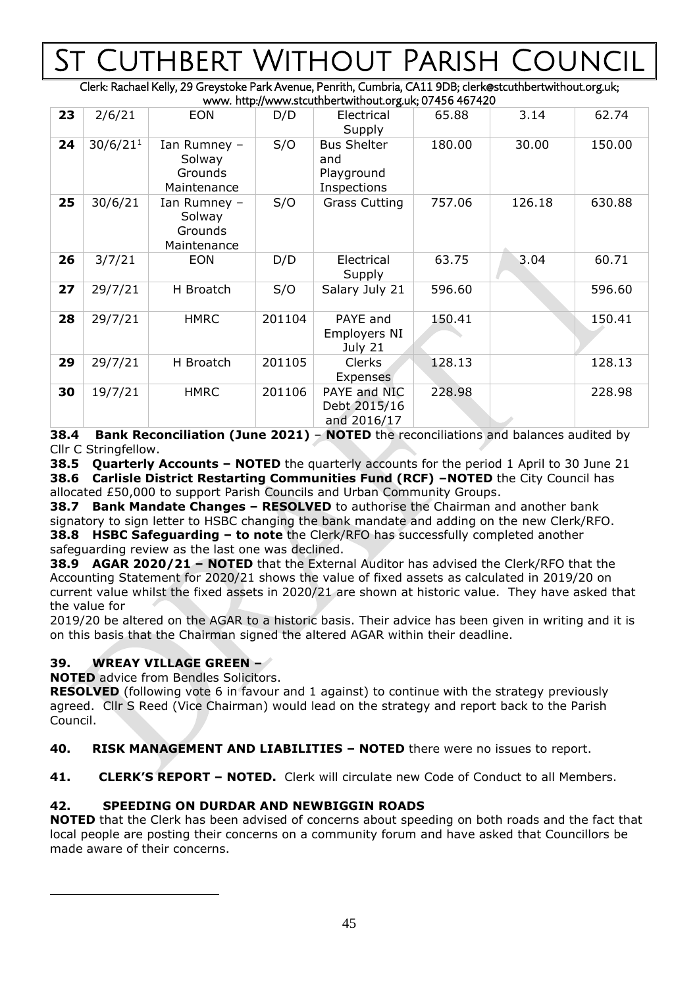# UTHBERT WITHOUT PARISH C

Clerk: Rachael Kelly, 29 Greystoke Park Avenue, Penrith, Cumbria, CA11 9DB; clerk@stcuthbertwithout.org.uk;  $w$  http://www.stcuthbertwithout.org.uk; 07456 467420

|    | www. http://www.stcuthbertwithout.org.uk, 07 +30 +07 +20 |                                                  |        |                                                        |        |        |        |  |
|----|----------------------------------------------------------|--------------------------------------------------|--------|--------------------------------------------------------|--------|--------|--------|--|
| 23 | 2/6/21                                                   | <b>EON</b>                                       | D/D    | Electrical<br>Supply                                   | 65.88  | 3.14   | 62.74  |  |
| 24 | 30/6/21 <sup>1</sup>                                     | Ian Rumney -<br>Solway<br>Grounds<br>Maintenance | S/O    | <b>Bus Shelter</b><br>and<br>Playground<br>Inspections | 180.00 | 30.00  | 150.00 |  |
| 25 | 30/6/21                                                  | Ian Rumney -<br>Solway<br>Grounds<br>Maintenance | S/O    | <b>Grass Cutting</b>                                   | 757.06 | 126.18 | 630.88 |  |
| 26 | 3/7/21                                                   | <b>EON</b>                                       | D/D    | Electrical<br>Supply                                   | 63.75  | 3.04   | 60.71  |  |
| 27 | 29/7/21                                                  | H Broatch                                        | S/O    | Salary July 21                                         | 596.60 |        | 596.60 |  |
| 28 | 29/7/21                                                  | <b>HMRC</b>                                      | 201104 | PAYE and<br>Employers NI<br>July 21                    | 150.41 |        | 150.41 |  |
| 29 | 29/7/21                                                  | H Broatch                                        | 201105 | <b>Clerks</b><br>Expenses                              | 128.13 |        | 128.13 |  |
| 30 | 19/7/21                                                  | <b>HMRC</b>                                      | 201106 | PAYE and NIC<br>Debt 2015/16<br>and 2016/17            | 228.98 |        | 228.98 |  |

**38.4 Bank Reconciliation (June 2021)** – **NOTED** the reconciliations and balances audited by Cllr C Stringfellow.

**38.5 Quarterly Accounts – NOTED** the quarterly accounts for the period 1 April to 30 June 21 **38.6 Carlisle District Restarting Communities Fund (RCF) –NOTED** the City Council has allocated £50,000 to support Parish Councils and Urban Community Groups.

**38.7 Bank Mandate Changes – RESOLVED** to authorise the Chairman and another bank signatory to sign letter to HSBC changing the bank mandate and adding on the new Clerk/RFO. **38.8 HSBC Safeguarding – to note** the Clerk/RFO has successfully completed another safeguarding review as the last one was declined.

**38.9 AGAR 2020/21 – NOTED** that the External Auditor has advised the Clerk/RFO that the Accounting Statement for 2020/21 shows the value of fixed assets as calculated in 2019/20 on current value whilst the fixed assets in 2020/21 are shown at historic value. They have asked that the value for

2019/20 be altered on the AGAR to a historic basis. Their advice has been given in writing and it is on this basis that the Chairman signed the altered AGAR within their deadline.

### **39. WREAY VILLAGE GREEN –**

**NOTED** advice from Bendles Solicitors.

**RESOLVED** (following vote 6 in favour and 1 against) to continue with the strategy previously agreed. Cllr S Reed (Vice Chairman) would lead on the strategy and report back to the Parish Council.

**40. RISK MANAGEMENT AND LIABILITIES – NOTED** there were no issues to report.

**41. CLERK'S REPORT – NOTED.** Clerk will circulate new Code of Conduct to all Members.

### **42. SPEEDING ON DURDAR AND NEWBIGGIN ROADS**

**NOTED** that the Clerk has been advised of concerns about speeding on both roads and the fact that local people are posting their concerns on a community forum and have asked that Councillors be made aware of their concerns.